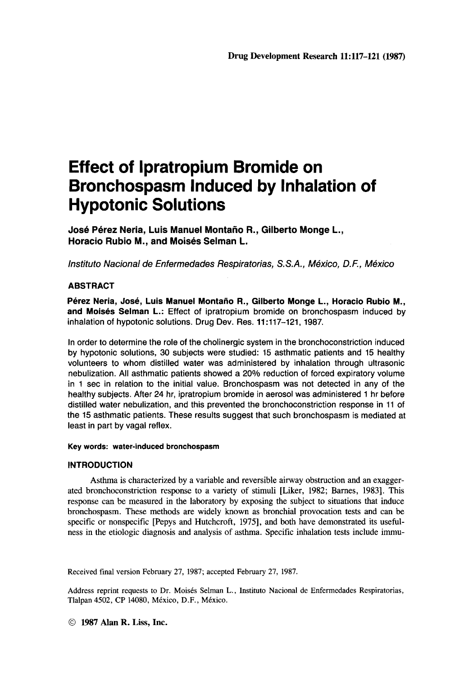# **Effect of lpratropium Bromide on Bronchospasm Induced by Inhalation of Hypotonic Solutions**

**Jose Perez Neria, Luis Manuel Montaiio R., Gilberto Monge L., Horacio Rubio M., and Moises Selman L.** 

*lnstituto Nacional de Enfermedades Respiratorias, S. S. A., Mexico, D. F., Mexico* 

## **ABSTRACT**

**Perez Neria, Jose, Luis Manuel Montano R., Gilberto Monge L., Horacio Rubio M., and Moises Selman L.:** Effect of ipratropium bromide on bronchospasm induced by inhalation of hypotonic solutions. Drug Dev. Res. **11:117-121, 1987.** 

In order to determine the role of the cholinergic system in the bronchoconstriction induced by hypotonic solutions, 30 subjects were studied: 15 asthmatic patients and **15** healthy volunteers to whom distilled water was administered by inhalation through ultrasonic nebulization. All asthmatic patients showed a **20%** reduction of forced expiratory volume in 1 sec in relation to the initial value. Bronchospasm was not detected in any of the healthy subjects. After **24** hr, ipratropium bromide in aerosol was administered **1** fir before distilled water nebulization, and this prevented the bronchoconstriction response in **11** of the **15** asthmatic patients. These results suggest that such bronchospasm is mediated at least in part by vagal reflex.

#### **Key words: water-induced bronchospasm**

#### **INTRODUCTION**

Asthma is characterized by a variable and reversible airway obstruction and an exaggerated bronchoconstriction response to a variety of stimuli [Liker, 1982; Barnes, 19831. This response can be measured in the laboratory by exposing the subject to situations that induce bronchospasm. These methods are widely known as bronchial provocation tests and can be specific or nonspecific [Pepys and Hutchcroft, 1975], and both have demonstrated its usefulness in the etiologic diagnosis and analysis of asthma. Specific inhalation tests include immu-

Received final version February 27, 1987; accepted February 27, 1987.

Address reprint requests **to** Dr. Moisds Selman **L.,** Instituto Nacional de Enfermedades Respiratorias, Tlalpan 4502, CP 14080, México, D.F., México.

*0* **<sup>1987</sup>Alan R. Liss. Inc.**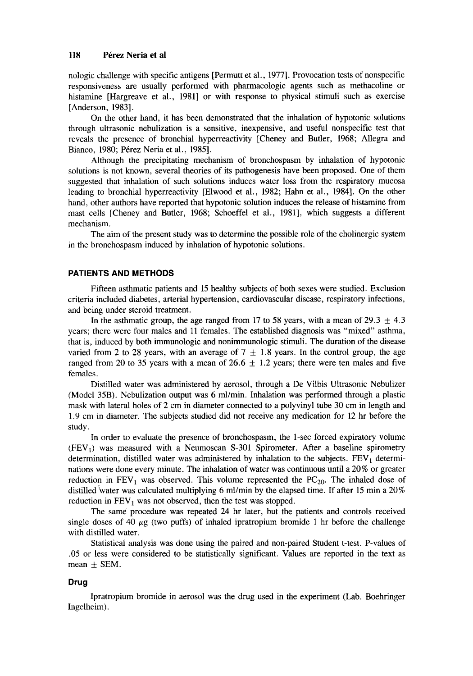nologic challenge with specific antigens [Permutt et al., 19771. Provocation tests of nonspecific responsiveness are usually performed with pharmacologic agents such as methacoline or histamine [Hargreave et al., 1981] or with response to physical stimuli such as exercise [Anderson, 1983].

On the other hand, it has been demonstrated that the inhalation of hypotonic solutions through ultrasonic nebulization is a sensitive, inexpensive, and useful nonspecific test that reveals the presence of bronchial hyperreactivity [Cheney and Butler, 1968; Allegra and Bianco, 1980; Pérez Neria et al., 1985].

Although the precipitating mechanism of bronchospasm by inhalation of hypotonic solutions is not known, several theories of its pathogenesis have been proposed. One of them suggested that inhalation of such solutions induces water loss from the respiratory mucosa leading to bronchial hyperreactivity [Elwood et al., 1982; Hahn et al., 1984]. On the other hand, other authors have reported that hypotonic solution induces the release of histamine from mast cells [Cheney and Butler, 1968; Schoeffel et al., 19811, which suggests a different mechanism.

The aim of the present study was to determine the possible role of the cholinergic system in the bronchospasm induced by inhalation of hypotonic solutions.

#### **PATIENTS AND METHODS**

Fifteen asthmatic patients and 15 healthy subjects of both sexes were studied. Exclusion criteria included diabetes, arterial hypertension, cardiovascular disease, respiratory infections, and being under steroid treatment.

In the asthmatic group, the age ranged from 17 to 58 years, with a mean of  $29.3 \pm 4.3$ years; there were four males and 11 females. The established diagnosis was "mixed" asthma, that is, induced by both immunologic and nonimmunologic stimuli. The duration of the disease varied from 2 to 28 years, with an average of  $7 \pm 1.8$  years. In the control group, the age ranged from 20 to 35 years with a mean of 26.6  $\pm$  1.2 years; there were ten males and five females.

Distilled water was administered by aerosol, through a De Vilbis Ultrasonic Nebulizer (Model 35B). Nebulization output was 6 ml/min. Inhalation was performed through a plastic mask with lateral holes of 2 cm in diameter connected to a polyvinyl tube 30 cm in length and 1.9 cm in diameter. The subjects studied did not receive any medication for **12** hr before the study.

In order to evaluate the presence of bronchospasm, the 1-sec forced expiratory volume  $(FEV<sub>1</sub>)$  was measured with a Neumoscan S-301 Spirometer. After a baseline spirometry determination, distilled water was administered by inhalation to the subjects.  $FEV<sub>1</sub>$  determinations were done every minute. The inhalation of water was continuous until a 20% or greater reduction in  $FEV<sub>1</sub>$  was observed. This volume represented the PC<sub>20</sub>. The inhaled dose of distilled water was calculated multiplying 6 ml/min by the elapsed time. If after 15 min a 20% reduction in  $FEV_1$  was not observed, then the test was stopped.

The same procedure was repeated 24 hr later, but the patients and controls received single doses of 40 *pg* (two puffs) of inhaled ipratropium bromide 1 hr before the challenge with distilled water.

Statistical analysis was done using the paired and non-paired Student t-test. P-values of .05 or less were considered to be statistically significant. Values are reported in the text as mean  $\pm$  SEM.

## **Drug**

Ingclheim). Ipratropium bromide in aerosol was the drug used in the experiment (Lab. Boehringer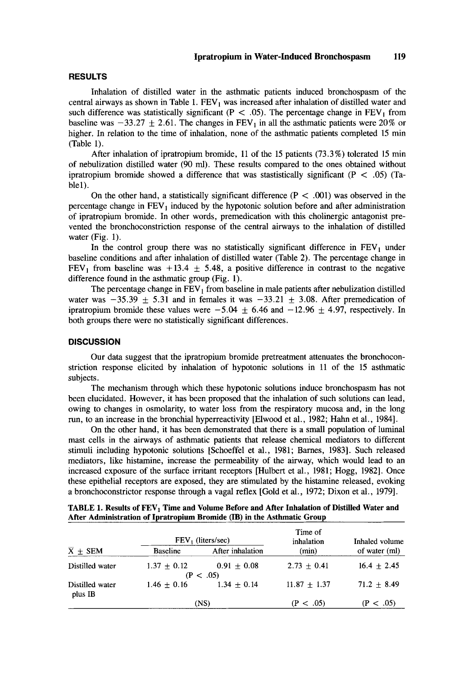#### **RESULTS**

Inhalation of distilled water in the asthmatic patients induced bronchospasm of the central airways as shown in Table 1.  $FEV<sub>1</sub>$  was increased after inhalation of distilled water and such difference was statistically significant ( $P < .05$ ). The percentage change in  $FEV<sub>1</sub>$  from baseline was  $-33.27 \pm 2.61$ . The changes in FEV<sub>1</sub> in all the asthmatic patients were 20% or higher. In relation to the time of inhalation, none of the asthmatic patients completed 15 min (Table 1).

After inhalation of ipratropium bromide, 11 of the 15 patients (73.3%) tolerated 15 min of nebulization distilled water (90 ml). These results compared to the ones obtained without ipratropium bromide showed a difference that was stastistically significant (P < *.05)* (Table1).

On the other hand, a statistically significant difference  $(P < .001)$  was observed in the percentage change in  $FEV<sub>1</sub>$  induced by the hypotonic solution before and after administration of ipratropium bromide. In other words, premedication with this cholinergic antagonist prevented the bronchoconstriction response of the central airways to the inhalation of distilled water (Fig. 1).

In the control group there was no statistically significant difference in  $FEV<sub>1</sub>$  under baseline conditions and after inhalation of distilled water (Table **2).** The percentage change in FEV<sub>1</sub> from baseline was +13.4  $\pm$  5.48, a positive difference in contrast to the negative difference found in the asthmatic group (Fig. 1).

The percentage change in  $FEV<sub>1</sub>$  from baseline in male patients after nebulization distilled water was  $-35.39 \pm 5.31$  and in females it was  $-33.21 \pm 3.08$ . After premedication of ipratropium bromide these values were  $-5.04 \pm 6.46$  and  $-12.96 \pm 4.97$ , respectively. In both groups there were no statistically significant differences.

#### **DISCUSSION**

Our data suggest that the ipratropium bromide pretreatment attenuates the bronchoconstriction response elicited by inhalation of hypotonic solutions in 11 of the 15 asthmatic subjects.

The mechanism through which these hypotonic solutions induce bronchospasm has not been elucidated. However, it has been proposed that the inhalation of such solutions can lead, owing **to** changes in osmolarity, to water loss from the respiratory mucosa and, in the long run, to an increase in the bronchial hyperreactivity [Elwood et al., 1982; Hahn et al., 19841.

On the other hand, it has been demonstrated that there **is** a small population of luminal mast cells in the airways of asthmatic patients that release chemical mediators to different stimuli including hypotonic solutions [Schoeffel et al., 1981; Barnes, 19831. Such released mediators, like histamine, increase the permeability of the airway, which would lead to an increased exposure **of** the surface irritant receptors [Hulbert et al., 1981; Hogg, 19821. Once these epithelial receptors are exposed, they are stimulated by the histamine released, evoking a bronchoconstrictor response through a vagal reflex [Gold et al., 1972; Dixon et al., 19791.

|                            | FEV (liters/sec) |                  | Time of<br>inhalation | Inhaled volume  |
|----------------------------|------------------|------------------|-----------------------|-----------------|
| $\overline{X}$ + SEM       | <b>Baseline</b>  | After inhalation | (min)                 | of water (ml)   |
| Distilled water            | $1.37 + 0.12$    | $0.91 \pm 0.08$  | $2.73 + 0.41$         | $16.4 \pm 2.45$ |
|                            |                  | (P < .05)        |                       |                 |
| Distilled water<br>plus IB | $1.46 \pm 0.16$  | $1.34 + 0.14$    | $11.87 \pm 1.37$      | $71.2 + 8.49$   |
|                            | (NS)             |                  | (P < .05)             | (P < .05)       |

TABLE 1. Results of FEV<sub>1</sub> Time and Volume Before and After Inhalation of Distilled Water and **After Administration of Ipratropium Bromide (IB) in the Asthmatic Group**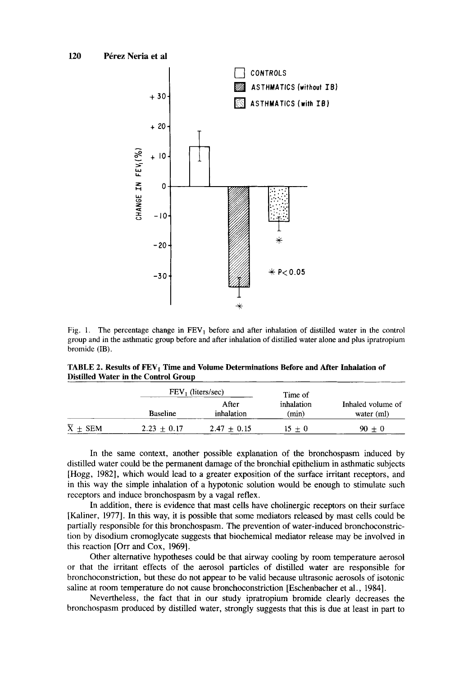

Fig. 1. The percentage change in FEV, before and after inhalation of distilled water in the control group and in the asthmatic group before and after inhalation of distilled water alone and plus ipratropium bromide (IB).

TABLE 2. Results of FEV<sub>1</sub> Time and Volume Determinations Before and After Inhalation of **Distilled Water in the Control Group** 

|                          |                 | $FEV_1$ (liters/sec) |                                |                                 |
|--------------------------|-----------------|----------------------|--------------------------------|---------------------------------|
|                          | <b>Baseline</b> | After<br>inhalation  | Time of<br>inhalation<br>(min) | Inhaled volume of<br>water (ml) |
| $\overline{X}$ $\pm$ SEM | $2.23 + 0.17$   | $2.47 + 0.15$        | $15 + 0$                       | $90 + 0$                        |

In the same context, another possible explanation of the bronchospasm induced by distilled water could be the permanent damage of the bronchial epithelium in asthmatic subjects [Hogg, 19821, which would lead to a greater exposition of the surface irritant receptors, and in this way the simple inhalation of a hypotonic solution would be enough to stimulate such receptors and induce bronchospasm by a vagal reflex.

In addition, there is evidence that mast cells have cholinergic receptors on their surface [Kaliner, 19771. In this way, **it** is possible that some mediators released by mast cells could be partially responsible for this bronchospasm. The prevention of water-induced bronchoconstriction by disodium cromoglycate suggests that biochemical mediator release may be involved in this reaction [Orr and **Cox,** 19691.

Other alternative hypotheses could be that airway cooling by room temperature aerosol or that the irritant effects of the aerosol particles of distilled water are responsible for bronchoconstriction, but these do not appear to be valid because ultrasonic aerosols of isotonic saline at room temperature do not cause bronchoconstriction [Eschenbacher et al., 19841.

Nevertheless, the fact that in our study ipratropium bromide clearly decreases the bronchospasm produced by distilled water, strongly suggests that this is due at least in part to